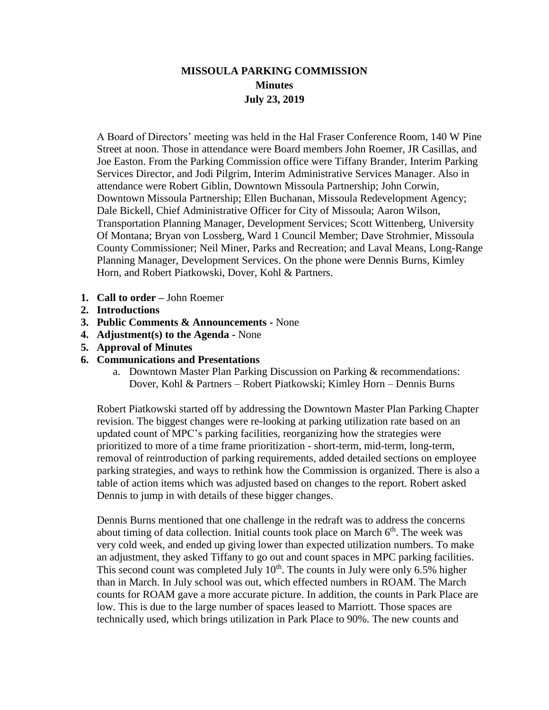## **MISSOULA PARKING COMMISSION Minutes July 23, 2019**

A Board of Directors' meeting was held in the Hal Fraser Conference Room, 140 W Pine Street at noon. Those in attendance were Board members John Roemer, JR Casillas, and Joe Easton. From the Parking Commission office were Tiffany Brander, Interim Parking Services Director, and Jodi Pilgrim, Interim Administrative Services Manager. Also in attendance were Robert Giblin, Downtown Missoula Partnership; John Corwin, Downtown Missoula Partnership; Ellen Buchanan, Missoula Redevelopment Agency; Dale Bickell, Chief Administrative Officer for City of Missoula; Aaron Wilson, Transportation Planning Manager, Development Services; Scott Wittenberg, University Of Montana; Bryan von Lossberg, Ward 1 Council Member; Dave Strohmier, Missoula County Commissioner; Neil Miner, Parks and Recreation; and Laval Means, Long-Range Planning Manager, Development Services. On the phone were Dennis Burns, Kimley Horn, and Robert Piatkowski, Dover, Kohl & Partners.

- **1. Call to order –** John Roemer
- **2. Introductions**
- **3. Public Comments & Announcements -** None
- **4. Adjustment(s) to the Agenda -** None
- **5. Approval of Minutes**
- **6. Communications and Presentations**
	- a. Downtown Master Plan Parking Discussion on Parking & recommendations: Dover, Kohl & Partners – Robert Piatkowski; Kimley Horn – Dennis Burns

Robert Piatkowski started off by addressing the Downtown Master Plan Parking Chapter revision. The biggest changes were re-looking at parking utilization rate based on an updated count of MPC's parking facilities, reorganizing how the strategies were prioritized to more of a time frame prioritization - short-term, mid-term, long-term, removal of reintroduction of parking requirements, added detailed sections on employee parking strategies, and ways to rethink how the Commission is organized. There is also a table of action items which was adjusted based on changes to the report. Robert asked Dennis to jump in with details of these bigger changes.

Dennis Burns mentioned that one challenge in the redraft was to address the concerns about timing of data collection. Initial counts took place on March  $6<sup>th</sup>$ . The week was very cold week, and ended up giving lower than expected utilization numbers. To make an adjustment, they asked Tiffany to go out and count spaces in MPC parking facilities. This second count was completed July  $10<sup>th</sup>$ . The counts in July were only 6.5% higher than in March. In July school was out, which effected numbers in ROAM. The March counts for ROAM gave a more accurate picture. In addition, the counts in Park Place are low. This is due to the large number of spaces leased to Marriott. Those spaces are technically used, which brings utilization in Park Place to 90%. The new counts and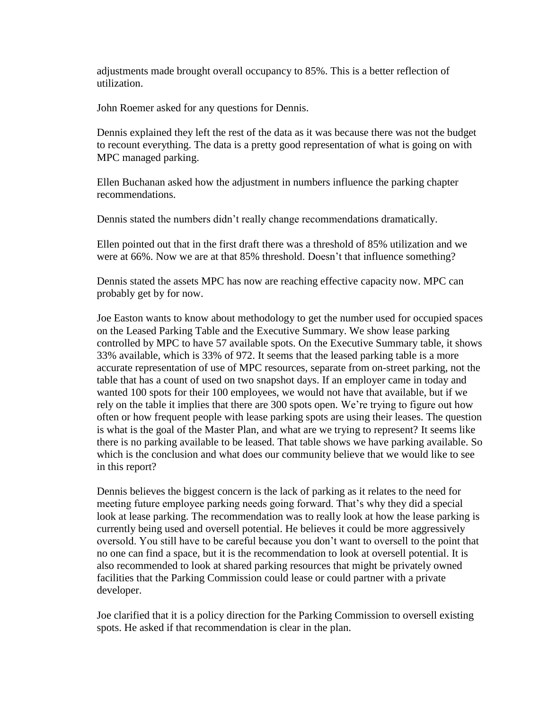adjustments made brought overall occupancy to 85%. This is a better reflection of utilization.

John Roemer asked for any questions for Dennis.

Dennis explained they left the rest of the data as it was because there was not the budget to recount everything. The data is a pretty good representation of what is going on with MPC managed parking.

Ellen Buchanan asked how the adjustment in numbers influence the parking chapter recommendations.

Dennis stated the numbers didn't really change recommendations dramatically.

Ellen pointed out that in the first draft there was a threshold of 85% utilization and we were at 66%. Now we are at that 85% threshold. Doesn't that influence something?

Dennis stated the assets MPC has now are reaching effective capacity now. MPC can probably get by for now.

Joe Easton wants to know about methodology to get the number used for occupied spaces on the Leased Parking Table and the Executive Summary. We show lease parking controlled by MPC to have 57 available spots. On the Executive Summary table, it shows 33% available, which is 33% of 972. It seems that the leased parking table is a more accurate representation of use of MPC resources, separate from on-street parking, not the table that has a count of used on two snapshot days. If an employer came in today and wanted 100 spots for their 100 employees, we would not have that available, but if we rely on the table it implies that there are 300 spots open. We're trying to figure out how often or how frequent people with lease parking spots are using their leases. The question is what is the goal of the Master Plan, and what are we trying to represent? It seems like there is no parking available to be leased. That table shows we have parking available. So which is the conclusion and what does our community believe that we would like to see in this report?

Dennis believes the biggest concern is the lack of parking as it relates to the need for meeting future employee parking needs going forward. That's why they did a special look at lease parking. The recommendation was to really look at how the lease parking is currently being used and oversell potential. He believes it could be more aggressively oversold. You still have to be careful because you don't want to oversell to the point that no one can find a space, but it is the recommendation to look at oversell potential. It is also recommended to look at shared parking resources that might be privately owned facilities that the Parking Commission could lease or could partner with a private developer.

Joe clarified that it is a policy direction for the Parking Commission to oversell existing spots. He asked if that recommendation is clear in the plan.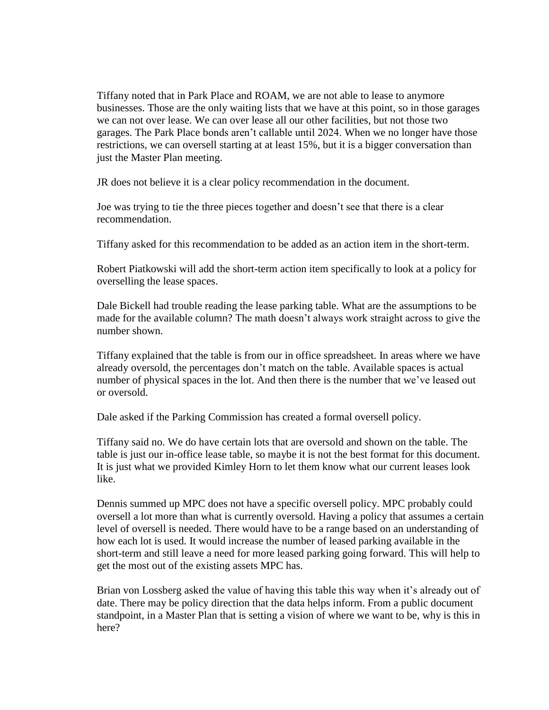Tiffany noted that in Park Place and ROAM, we are not able to lease to anymore businesses. Those are the only waiting lists that we have at this point, so in those garages we can not over lease. We can over lease all our other facilities, but not those two garages. The Park Place bonds aren't callable until 2024. When we no longer have those restrictions, we can oversell starting at at least 15%, but it is a bigger conversation than just the Master Plan meeting.

JR does not believe it is a clear policy recommendation in the document.

Joe was trying to tie the three pieces together and doesn't see that there is a clear recommendation.

Tiffany asked for this recommendation to be added as an action item in the short-term.

Robert Piatkowski will add the short-term action item specifically to look at a policy for overselling the lease spaces.

Dale Bickell had trouble reading the lease parking table. What are the assumptions to be made for the available column? The math doesn't always work straight across to give the number shown.

Tiffany explained that the table is from our in office spreadsheet. In areas where we have already oversold, the percentages don't match on the table. Available spaces is actual number of physical spaces in the lot. And then there is the number that we've leased out or oversold.

Dale asked if the Parking Commission has created a formal oversell policy.

Tiffany said no. We do have certain lots that are oversold and shown on the table. The table is just our in-office lease table, so maybe it is not the best format for this document. It is just what we provided Kimley Horn to let them know what our current leases look like.

Dennis summed up MPC does not have a specific oversell policy. MPC probably could oversell a lot more than what is currently oversold. Having a policy that assumes a certain level of oversell is needed. There would have to be a range based on an understanding of how each lot is used. It would increase the number of leased parking available in the short-term and still leave a need for more leased parking going forward. This will help to get the most out of the existing assets MPC has.

Brian von Lossberg asked the value of having this table this way when it's already out of date. There may be policy direction that the data helps inform. From a public document standpoint, in a Master Plan that is setting a vision of where we want to be, why is this in here?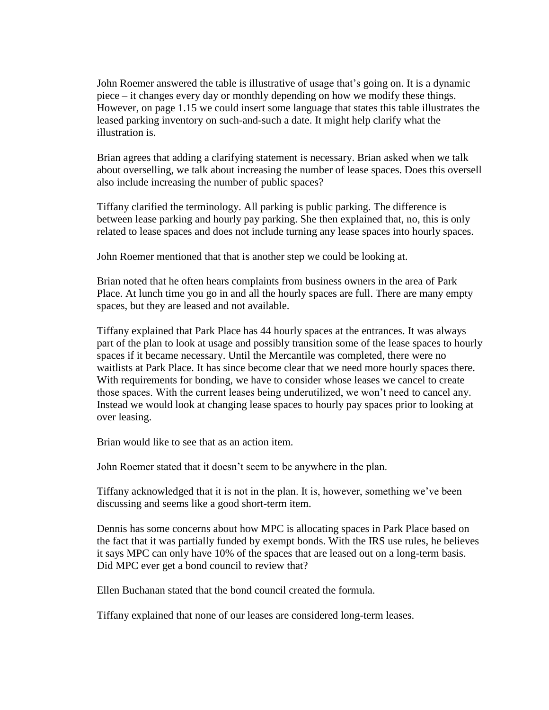John Roemer answered the table is illustrative of usage that's going on. It is a dynamic piece – it changes every day or monthly depending on how we modify these things. However, on page 1.15 we could insert some language that states this table illustrates the leased parking inventory on such-and-such a date. It might help clarify what the illustration is.

Brian agrees that adding a clarifying statement is necessary. Brian asked when we talk about overselling, we talk about increasing the number of lease spaces. Does this oversell also include increasing the number of public spaces?

Tiffany clarified the terminology. All parking is public parking. The difference is between lease parking and hourly pay parking. She then explained that, no, this is only related to lease spaces and does not include turning any lease spaces into hourly spaces.

John Roemer mentioned that that is another step we could be looking at.

Brian noted that he often hears complaints from business owners in the area of Park Place. At lunch time you go in and all the hourly spaces are full. There are many empty spaces, but they are leased and not available.

Tiffany explained that Park Place has 44 hourly spaces at the entrances. It was always part of the plan to look at usage and possibly transition some of the lease spaces to hourly spaces if it became necessary. Until the Mercantile was completed, there were no waitlists at Park Place. It has since become clear that we need more hourly spaces there. With requirements for bonding, we have to consider whose leases we cancel to create those spaces. With the current leases being underutilized, we won't need to cancel any. Instead we would look at changing lease spaces to hourly pay spaces prior to looking at over leasing.

Brian would like to see that as an action item.

John Roemer stated that it doesn't seem to be anywhere in the plan.

Tiffany acknowledged that it is not in the plan. It is, however, something we've been discussing and seems like a good short-term item.

Dennis has some concerns about how MPC is allocating spaces in Park Place based on the fact that it was partially funded by exempt bonds. With the IRS use rules, he believes it says MPC can only have 10% of the spaces that are leased out on a long-term basis. Did MPC ever get a bond council to review that?

Ellen Buchanan stated that the bond council created the formula.

Tiffany explained that none of our leases are considered long-term leases.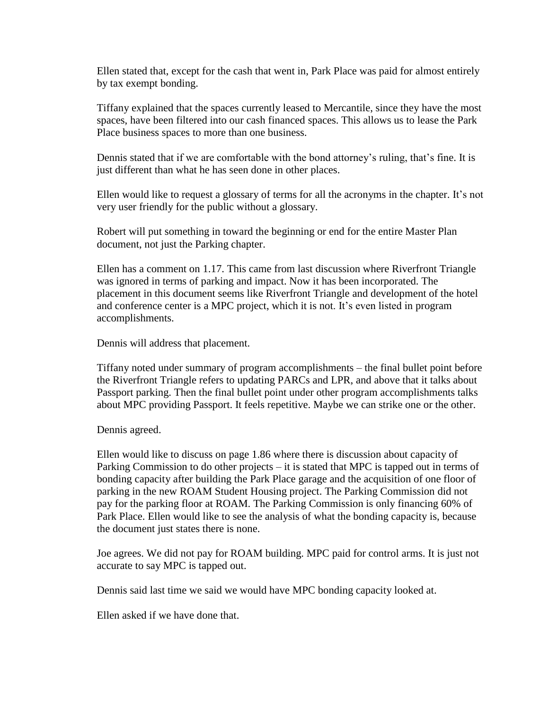Ellen stated that, except for the cash that went in, Park Place was paid for almost entirely by tax exempt bonding.

Tiffany explained that the spaces currently leased to Mercantile, since they have the most spaces, have been filtered into our cash financed spaces. This allows us to lease the Park Place business spaces to more than one business.

Dennis stated that if we are comfortable with the bond attorney's ruling, that's fine. It is just different than what he has seen done in other places.

Ellen would like to request a glossary of terms for all the acronyms in the chapter. It's not very user friendly for the public without a glossary.

Robert will put something in toward the beginning or end for the entire Master Plan document, not just the Parking chapter.

Ellen has a comment on 1.17. This came from last discussion where Riverfront Triangle was ignored in terms of parking and impact. Now it has been incorporated. The placement in this document seems like Riverfront Triangle and development of the hotel and conference center is a MPC project, which it is not. It's even listed in program accomplishments.

Dennis will address that placement.

Tiffany noted under summary of program accomplishments – the final bullet point before the Riverfront Triangle refers to updating PARCs and LPR, and above that it talks about Passport parking. Then the final bullet point under other program accomplishments talks about MPC providing Passport. It feels repetitive. Maybe we can strike one or the other.

Dennis agreed.

Ellen would like to discuss on page 1.86 where there is discussion about capacity of Parking Commission to do other projects – it is stated that MPC is tapped out in terms of bonding capacity after building the Park Place garage and the acquisition of one floor of parking in the new ROAM Student Housing project. The Parking Commission did not pay for the parking floor at ROAM. The Parking Commission is only financing 60% of Park Place. Ellen would like to see the analysis of what the bonding capacity is, because the document just states there is none.

Joe agrees. We did not pay for ROAM building. MPC paid for control arms. It is just not accurate to say MPC is tapped out.

Dennis said last time we said we would have MPC bonding capacity looked at.

Ellen asked if we have done that.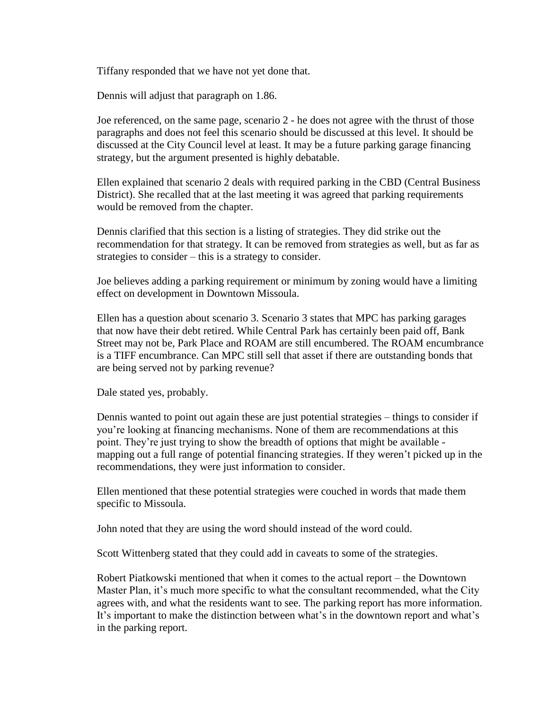Tiffany responded that we have not yet done that.

Dennis will adjust that paragraph on 1.86.

Joe referenced, on the same page, scenario 2 - he does not agree with the thrust of those paragraphs and does not feel this scenario should be discussed at this level. It should be discussed at the City Council level at least. It may be a future parking garage financing strategy, but the argument presented is highly debatable.

Ellen explained that scenario 2 deals with required parking in the CBD (Central Business District). She recalled that at the last meeting it was agreed that parking requirements would be removed from the chapter.

Dennis clarified that this section is a listing of strategies. They did strike out the recommendation for that strategy. It can be removed from strategies as well, but as far as strategies to consider – this is a strategy to consider.

Joe believes adding a parking requirement or minimum by zoning would have a limiting effect on development in Downtown Missoula.

Ellen has a question about scenario 3. Scenario 3 states that MPC has parking garages that now have their debt retired. While Central Park has certainly been paid off, Bank Street may not be, Park Place and ROAM are still encumbered. The ROAM encumbrance is a TIFF encumbrance. Can MPC still sell that asset if there are outstanding bonds that are being served not by parking revenue?

Dale stated yes, probably.

Dennis wanted to point out again these are just potential strategies – things to consider if you're looking at financing mechanisms. None of them are recommendations at this point. They're just trying to show the breadth of options that might be available mapping out a full range of potential financing strategies. If they weren't picked up in the recommendations, they were just information to consider.

Ellen mentioned that these potential strategies were couched in words that made them specific to Missoula.

John noted that they are using the word should instead of the word could.

Scott Wittenberg stated that they could add in caveats to some of the strategies.

Robert Piatkowski mentioned that when it comes to the actual report – the Downtown Master Plan, it's much more specific to what the consultant recommended, what the City agrees with, and what the residents want to see. The parking report has more information. It's important to make the distinction between what's in the downtown report and what's in the parking report.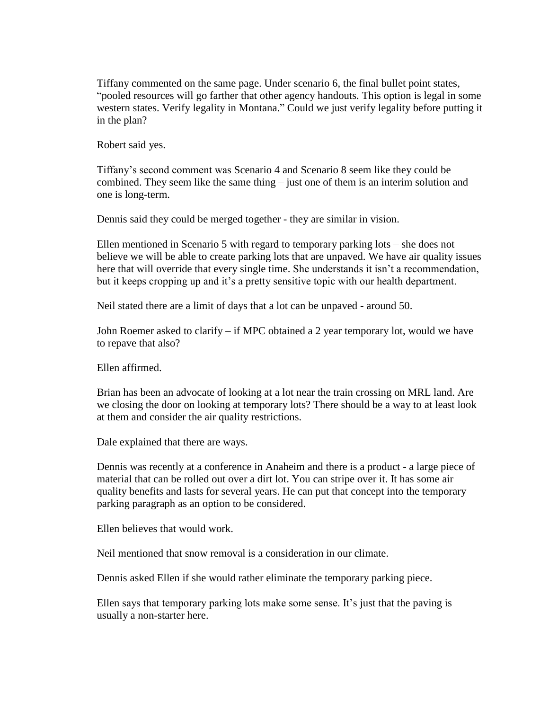Tiffany commented on the same page. Under scenario 6, the final bullet point states, "pooled resources will go farther that other agency handouts. This option is legal in some western states. Verify legality in Montana." Could we just verify legality before putting it in the plan?

Robert said yes.

Tiffany's second comment was Scenario 4 and Scenario 8 seem like they could be combined. They seem like the same thing – just one of them is an interim solution and one is long-term.

Dennis said they could be merged together - they are similar in vision.

Ellen mentioned in Scenario 5 with regard to temporary parking lots – she does not believe we will be able to create parking lots that are unpaved. We have air quality issues here that will override that every single time. She understands it isn't a recommendation, but it keeps cropping up and it's a pretty sensitive topic with our health department.

Neil stated there are a limit of days that a lot can be unpaved - around 50.

John Roemer asked to clarify – if MPC obtained a 2 year temporary lot, would we have to repave that also?

Ellen affirmed.

Brian has been an advocate of looking at a lot near the train crossing on MRL land. Are we closing the door on looking at temporary lots? There should be a way to at least look at them and consider the air quality restrictions.

Dale explained that there are ways.

Dennis was recently at a conference in Anaheim and there is a product - a large piece of material that can be rolled out over a dirt lot. You can stripe over it. It has some air quality benefits and lasts for several years. He can put that concept into the temporary parking paragraph as an option to be considered.

Ellen believes that would work.

Neil mentioned that snow removal is a consideration in our climate.

Dennis asked Ellen if she would rather eliminate the temporary parking piece.

Ellen says that temporary parking lots make some sense. It's just that the paving is usually a non-starter here.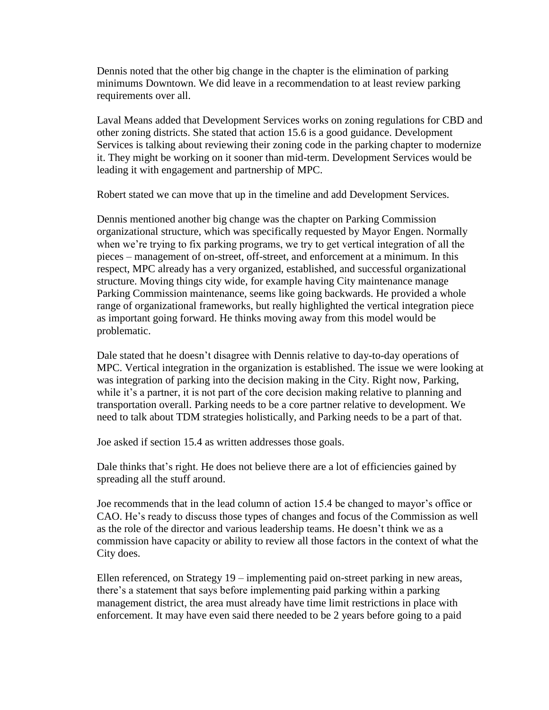Dennis noted that the other big change in the chapter is the elimination of parking minimums Downtown. We did leave in a recommendation to at least review parking requirements over all.

Laval Means added that Development Services works on zoning regulations for CBD and other zoning districts. She stated that action 15.6 is a good guidance. Development Services is talking about reviewing their zoning code in the parking chapter to modernize it. They might be working on it sooner than mid-term. Development Services would be leading it with engagement and partnership of MPC.

Robert stated we can move that up in the timeline and add Development Services.

Dennis mentioned another big change was the chapter on Parking Commission organizational structure, which was specifically requested by Mayor Engen. Normally when we're trying to fix parking programs, we try to get vertical integration of all the pieces – management of on-street, off-street, and enforcement at a minimum. In this respect, MPC already has a very organized, established, and successful organizational structure. Moving things city wide, for example having City maintenance manage Parking Commission maintenance, seems like going backwards. He provided a whole range of organizational frameworks, but really highlighted the vertical integration piece as important going forward. He thinks moving away from this model would be problematic.

Dale stated that he doesn't disagree with Dennis relative to day-to-day operations of MPC. Vertical integration in the organization is established. The issue we were looking at was integration of parking into the decision making in the City. Right now, Parking, while it's a partner, it is not part of the core decision making relative to planning and transportation overall. Parking needs to be a core partner relative to development. We need to talk about TDM strategies holistically, and Parking needs to be a part of that.

Joe asked if section 15.4 as written addresses those goals.

Dale thinks that's right. He does not believe there are a lot of efficiencies gained by spreading all the stuff around.

Joe recommends that in the lead column of action 15.4 be changed to mayor's office or CAO. He's ready to discuss those types of changes and focus of the Commission as well as the role of the director and various leadership teams. He doesn't think we as a commission have capacity or ability to review all those factors in the context of what the City does.

Ellen referenced, on Strategy 19 – implementing paid on-street parking in new areas, there's a statement that says before implementing paid parking within a parking management district, the area must already have time limit restrictions in place with enforcement. It may have even said there needed to be 2 years before going to a paid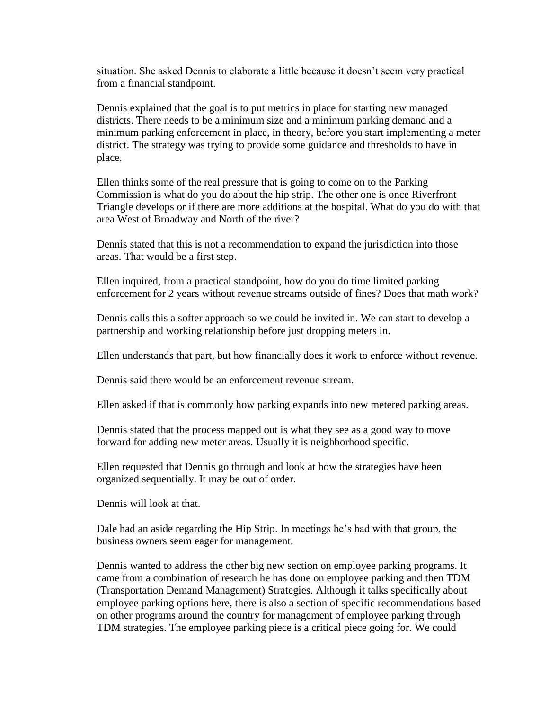situation. She asked Dennis to elaborate a little because it doesn't seem very practical from a financial standpoint.

Dennis explained that the goal is to put metrics in place for starting new managed districts. There needs to be a minimum size and a minimum parking demand and a minimum parking enforcement in place, in theory, before you start implementing a meter district. The strategy was trying to provide some guidance and thresholds to have in place.

Ellen thinks some of the real pressure that is going to come on to the Parking Commission is what do you do about the hip strip. The other one is once Riverfront Triangle develops or if there are more additions at the hospital. What do you do with that area West of Broadway and North of the river?

Dennis stated that this is not a recommendation to expand the jurisdiction into those areas. That would be a first step.

Ellen inquired, from a practical standpoint, how do you do time limited parking enforcement for 2 years without revenue streams outside of fines? Does that math work?

Dennis calls this a softer approach so we could be invited in. We can start to develop a partnership and working relationship before just dropping meters in.

Ellen understands that part, but how financially does it work to enforce without revenue.

Dennis said there would be an enforcement revenue stream.

Ellen asked if that is commonly how parking expands into new metered parking areas.

Dennis stated that the process mapped out is what they see as a good way to move forward for adding new meter areas. Usually it is neighborhood specific.

Ellen requested that Dennis go through and look at how the strategies have been organized sequentially. It may be out of order.

Dennis will look at that.

Dale had an aside regarding the Hip Strip. In meetings he's had with that group, the business owners seem eager for management.

Dennis wanted to address the other big new section on employee parking programs. It came from a combination of research he has done on employee parking and then TDM (Transportation Demand Management) Strategies. Although it talks specifically about employee parking options here, there is also a section of specific recommendations based on other programs around the country for management of employee parking through TDM strategies. The employee parking piece is a critical piece going for. We could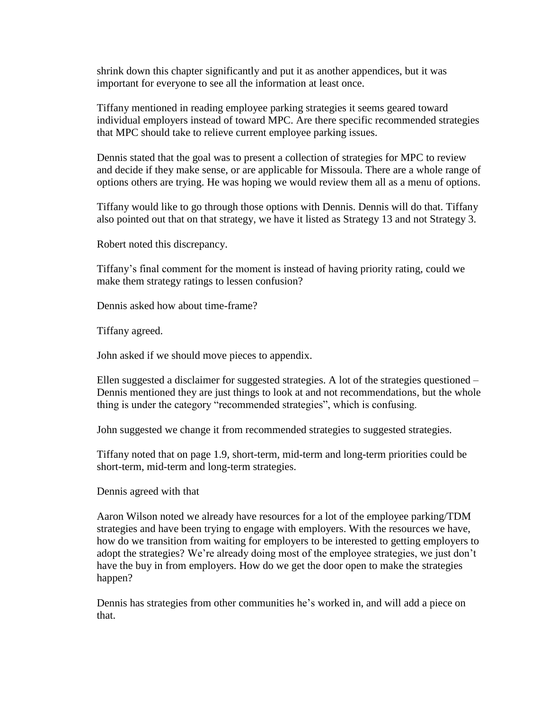shrink down this chapter significantly and put it as another appendices, but it was important for everyone to see all the information at least once.

Tiffany mentioned in reading employee parking strategies it seems geared toward individual employers instead of toward MPC. Are there specific recommended strategies that MPC should take to relieve current employee parking issues.

Dennis stated that the goal was to present a collection of strategies for MPC to review and decide if they make sense, or are applicable for Missoula. There are a whole range of options others are trying. He was hoping we would review them all as a menu of options.

Tiffany would like to go through those options with Dennis. Dennis will do that. Tiffany also pointed out that on that strategy, we have it listed as Strategy 13 and not Strategy 3.

Robert noted this discrepancy.

Tiffany's final comment for the moment is instead of having priority rating, could we make them strategy ratings to lessen confusion?

Dennis asked how about time-frame?

Tiffany agreed.

John asked if we should move pieces to appendix.

Ellen suggested a disclaimer for suggested strategies. A lot of the strategies questioned – Dennis mentioned they are just things to look at and not recommendations, but the whole thing is under the category "recommended strategies", which is confusing.

John suggested we change it from recommended strategies to suggested strategies.

Tiffany noted that on page 1.9, short-term, mid-term and long-term priorities could be short-term, mid-term and long-term strategies.

Dennis agreed with that

Aaron Wilson noted we already have resources for a lot of the employee parking/TDM strategies and have been trying to engage with employers. With the resources we have, how do we transition from waiting for employers to be interested to getting employers to adopt the strategies? We're already doing most of the employee strategies, we just don't have the buy in from employers. How do we get the door open to make the strategies happen?

Dennis has strategies from other communities he's worked in, and will add a piece on that.